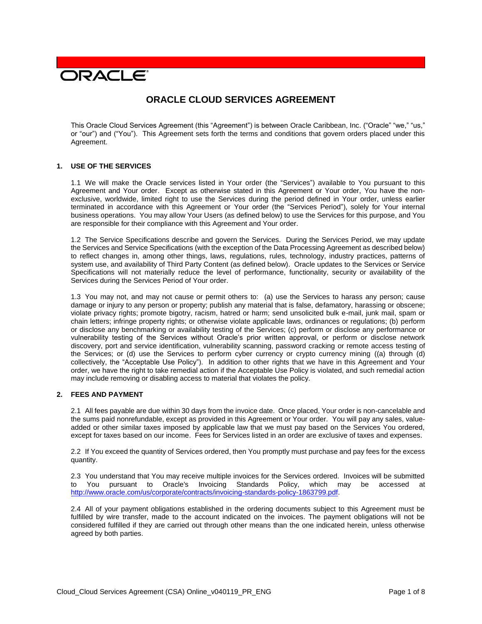# **DRACLE**

# **ORACLE CLOUD SERVICES AGREEMENT**

This Oracle Cloud Services Agreement (this "Agreement") is between Oracle Caribbean, Inc. ("Oracle" "we," "us," or "our") and ("You"). This Agreement sets forth the terms and conditions that govern orders placed under this Agreement.

### **1. USE OF THE SERVICES**

1.1 We will make the Oracle services listed in Your order (the "Services") available to You pursuant to this Agreement and Your order. Except as otherwise stated in this Agreement or Your order, You have the nonexclusive, worldwide, limited right to use the Services during the period defined in Your order, unless earlier terminated in accordance with this Agreement or Your order (the "Services Period"), solely for Your internal business operations. You may allow Your Users (as defined below) to use the Services for this purpose, and You are responsible for their compliance with this Agreement and Your order.

1.2 The Service Specifications describe and govern the Services. During the Services Period, we may update the Services and Service Specifications (with the exception of the Data Processing Agreement as described below) to reflect changes in, among other things, laws, regulations, rules, technology, industry practices, patterns of system use, and availability of Third Party Content (as defined below). Oracle updates to the Services or Service Specifications will not materially reduce the level of performance, functionality, security or availability of the Services during the Services Period of Your order.

1.3 You may not, and may not cause or permit others to: (a) use the Services to harass any person; cause damage or injury to any person or property; publish any material that is false, defamatory, harassing or obscene; violate privacy rights; promote bigotry, racism, hatred or harm; send unsolicited bulk e-mail, junk mail, spam or chain letters; infringe property rights; or otherwise violate applicable laws, ordinances or regulations; (b) perform or disclose any benchmarking or availability testing of the Services; (c) perform or disclose any performance or vulnerability testing of the Services without Oracle's prior written approval, or perform or disclose network discovery, port and service identification, vulnerability scanning, password cracking or remote access testing of the Services; or (d) use the Services to perform cyber currency or crypto currency mining ((a) through (d) collectively, the "Acceptable Use Policy"). In addition to other rights that we have in this Agreement and Your order, we have the right to take remedial action if the Acceptable Use Policy is violated, and such remedial action may include removing or disabling access to material that violates the policy.

# **2. FEES AND PAYMENT**

2.1 All fees payable are due within 30 days from the invoice date. Once placed, Your order is non-cancelable and the sums paid nonrefundable, except as provided in this Agreement or Your order. You will pay any sales, valueadded or other similar taxes imposed by applicable law that we must pay based on the Services You ordered, except for taxes based on our income. Fees for Services listed in an order are exclusive of taxes and expenses.

2.2 If You exceed the quantity of Services ordered, then You promptly must purchase and pay fees for the excess quantity.

2.3 You understand that You may receive multiple invoices for the Services ordered. Invoices will be submitted to You pursuant to Oracle's Invoicing Standards Policy, which may be accessed at [http://www.oracle.com/us/corporate/contracts/invoicing-standards-policy-1863799.pdf.](http://www.oracle.com/us/corporate/contracts/invoicing-standards-policy-1863799.pdf)

2.4 All of your payment obligations established in the ordering documents subject to this Agreement must be fulfilled by wire transfer, made to the account indicated on the invoices. The payment obligations will not be considered fulfilled if they are carried out through other means than the one indicated herein, unless otherwise agreed by both parties.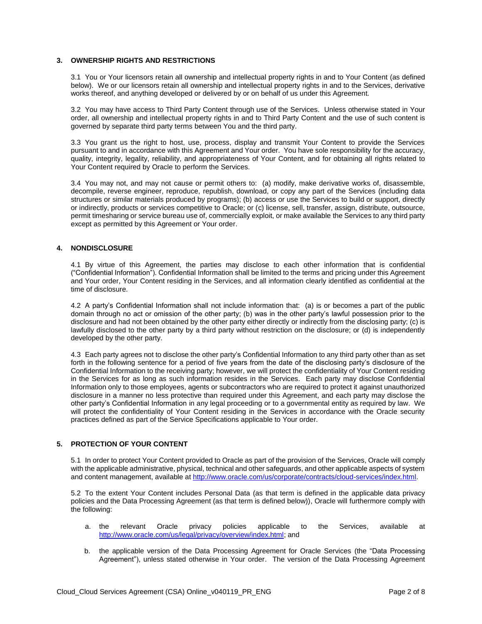#### **3. OWNERSHIP RIGHTS AND RESTRICTIONS**

3.1 You or Your licensors retain all ownership and intellectual property rights in and to Your Content (as defined below). We or our licensors retain all ownership and intellectual property rights in and to the Services, derivative works thereof, and anything developed or delivered by or on behalf of us under this Agreement.

3.2 You may have access to Third Party Content through use of the Services. Unless otherwise stated in Your order, all ownership and intellectual property rights in and to Third Party Content and the use of such content is governed by separate third party terms between You and the third party.

3.3 You grant us the right to host, use, process, display and transmit Your Content to provide the Services pursuant to and in accordance with this Agreement and Your order. You have sole responsibility for the accuracy, quality, integrity, legality, reliability, and appropriateness of Your Content, and for obtaining all rights related to Your Content required by Oracle to perform the Services.

3.4 You may not, and may not cause or permit others to: (a) modify, make derivative works of, disassemble, decompile, reverse engineer, reproduce, republish, download, or copy any part of the Services (including data structures or similar materials produced by programs); (b) access or use the Services to build or support, directly or indirectly, products or services competitive to Oracle; or (c) license, sell, transfer, assign, distribute, outsource, permit timesharing or service bureau use of, commercially exploit, or make available the Services to any third party except as permitted by this Agreement or Your order.

## **4. NONDISCLOSURE**

4.1 By virtue of this Agreement, the parties may disclose to each other information that is confidential ("Confidential Information"). Confidential Information shall be limited to the terms and pricing under this Agreement and Your order, Your Content residing in the Services, and all information clearly identified as confidential at the time of disclosure.

4.2 A party's Confidential Information shall not include information that: (a) is or becomes a part of the public domain through no act or omission of the other party; (b) was in the other party's lawful possession prior to the disclosure and had not been obtained by the other party either directly or indirectly from the disclosing party; (c) is lawfully disclosed to the other party by a third party without restriction on the disclosure; or (d) is independently developed by the other party.

4.3 Each party agrees not to disclose the other party's Confidential Information to any third party other than as set forth in the following sentence for a period of five years from the date of the disclosing party's disclosure of the Confidential Information to the receiving party; however, we will protect the confidentiality of Your Content residing in the Services for as long as such information resides in the Services. Each party may disclose Confidential Information only to those employees, agents or subcontractors who are required to protect it against unauthorized disclosure in a manner no less protective than required under this Agreement, and each party may disclose the other party's Confidential Information in any legal proceeding or to a governmental entity as required by law. We will protect the confidentiality of Your Content residing in the Services in accordance with the Oracle security practices defined as part of the Service Specifications applicable to Your order.

### **5. PROTECTION OF YOUR CONTENT**

5.1 In order to protect Your Content provided to Oracle as part of the provision of the Services, Oracle will comply with the applicable administrative, physical, technical and other safeguards, and other applicable aspects of system and content management, available at [http://www.oracle.com/us/corporate/contracts/cloud-services/index.html.](http://www.oracle.com/us/corporate/contracts/cloud-services/index.html)

5.2 To the extent Your Content includes Personal Data (as that term is defined in the applicable data privacy policies and the Data Processing Agreement (as that term is defined below)), Oracle will furthermore comply with the following:

- a. the relevant Oracle privacy policies applicable to the Services, available at [http://www.oracle.com/us/legal/privacy/overview/index.html;](http://www.oracle.com/us/legal/privacy/overview/index.html) and
- b. the applicable version of the Data Processing Agreement for Oracle Services (the "Data Processing Agreement"), unless stated otherwise in Your order. The version of the Data Processing Agreement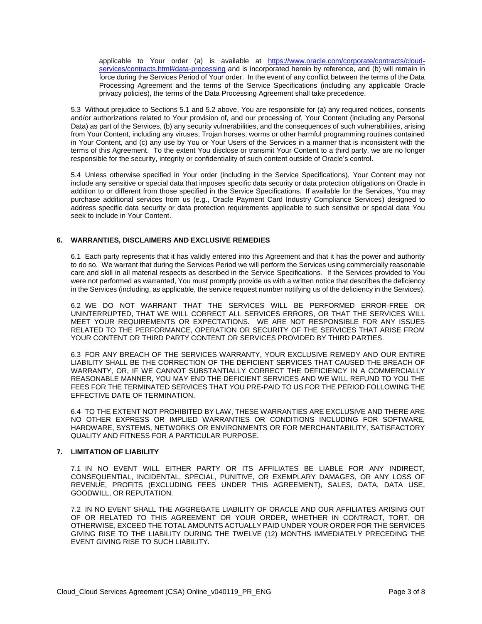applicable to Your order (a) is available at [https://www.oracle.com/corporate/contracts/cloud](https://www.oracle.com/corporate/contracts/cloud-services/contracts.html#data-processing)[services/contracts.html#data-processing](https://www.oracle.com/corporate/contracts/cloud-services/contracts.html#data-processing) and is incorporated herein by reference, and (b) will remain in force during the Services Period of Your order. In the event of any conflict between the terms of the Data Processing Agreement and the terms of the Service Specifications (including any applicable Oracle privacy policies), the terms of the Data Processing Agreement shall take precedence.

5.3 Without prejudice to Sections 5.1 and 5.2 above, You are responsible for (a) any required notices, consents and/or authorizations related to Your provision of, and our processing of, Your Content (including any Personal Data) as part of the Services, (b) any security vulnerabilities, and the consequences of such vulnerabilities, arising from Your Content, including any viruses, Trojan horses, worms or other harmful programming routines contained in Your Content, and (c) any use by You or Your Users of the Services in a manner that is inconsistent with the terms of this Agreement. To the extent You disclose or transmit Your Content to a third party, we are no longer responsible for the security, integrity or confidentiality of such content outside of Oracle's control.

5.4 Unless otherwise specified in Your order (including in the Service Specifications), Your Content may not include any sensitive or special data that imposes specific data security or data protection obligations on Oracle in addition to or different from those specified in the Service Specifications. If available for the Services, You may purchase additional services from us (e.g., Oracle Payment Card Industry Compliance Services) designed to address specific data security or data protection requirements applicable to such sensitive or special data You seek to include in Your Content.

# **6. WARRANTIES, DISCLAIMERS AND EXCLUSIVE REMEDIES**

6.1 Each party represents that it has validly entered into this Agreement and that it has the power and authority to do so. We warrant that during the Services Period we will perform the Services using commercially reasonable care and skill in all material respects as described in the Service Specifications. If the Services provided to You were not performed as warranted, You must promptly provide us with a written notice that describes the deficiency in the Services (including, as applicable, the service request number notifying us of the deficiency in the Services).

6.2 WE DO NOT WARRANT THAT THE SERVICES WILL BE PERFORMED ERROR-FREE OR UNINTERRUPTED, THAT WE WILL CORRECT ALL SERVICES ERRORS, OR THAT THE SERVICES WILL MEET YOUR REQUIREMENTS OR EXPECTATIONS. WE ARE NOT RESPONSIBLE FOR ANY ISSUES RELATED TO THE PERFORMANCE, OPERATION OR SECURITY OF THE SERVICES THAT ARISE FROM YOUR CONTENT OR THIRD PARTY CONTENT OR SERVICES PROVIDED BY THIRD PARTIES.

6.3 FOR ANY BREACH OF THE SERVICES WARRANTY, YOUR EXCLUSIVE REMEDY AND OUR ENTIRE LIABILITY SHALL BE THE CORRECTION OF THE DEFICIENT SERVICES THAT CAUSED THE BREACH OF WARRANTY, OR, IF WE CANNOT SUBSTANTIALLY CORRECT THE DEFICIENCY IN A COMMERCIALLY REASONABLE MANNER, YOU MAY END THE DEFICIENT SERVICES AND WE WILL REFUND TO YOU THE FEES FOR THE TERMINATED SERVICES THAT YOU PRE-PAID TO US FOR THE PERIOD FOLLOWING THE EFFECTIVE DATE OF TERMINATION.

6.4 TO THE EXTENT NOT PROHIBITED BY LAW, THESE WARRANTIES ARE EXCLUSIVE AND THERE ARE NO OTHER EXPRESS OR IMPLIED WARRANTIES OR CONDITIONS INCLUDING FOR SOFTWARE, HARDWARE, SYSTEMS, NETWORKS OR ENVIRONMENTS OR FOR MERCHANTABILITY, SATISFACTORY QUALITY AND FITNESS FOR A PARTICULAR PURPOSE.

### **7. LIMITATION OF LIABILITY**

7.1 IN NO EVENT WILL EITHER PARTY OR ITS AFFILIATES BE LIABLE FOR ANY INDIRECT, CONSEQUENTIAL, INCIDENTAL, SPECIAL, PUNITIVE, OR EXEMPLARY DAMAGES, OR ANY LOSS OF REVENUE, PROFITS (EXCLUDING FEES UNDER THIS AGREEMENT), SALES, DATA, DATA USE, GOODWILL, OR REPUTATION.

7.2 IN NO EVENT SHALL THE AGGREGATE LIABILITY OF ORACLE AND OUR AFFILIATES ARISING OUT OF OR RELATED TO THIS AGREEMENT OR YOUR ORDER, WHETHER IN CONTRACT, TORT, OR OTHERWISE, EXCEED THE TOTAL AMOUNTS ACTUALLY PAID UNDER YOUR ORDER FOR THE SERVICES GIVING RISE TO THE LIABILITY DURING THE TWELVE (12) MONTHS IMMEDIATELY PRECEDING THE EVENT GIVING RISE TO SUCH LIABILITY.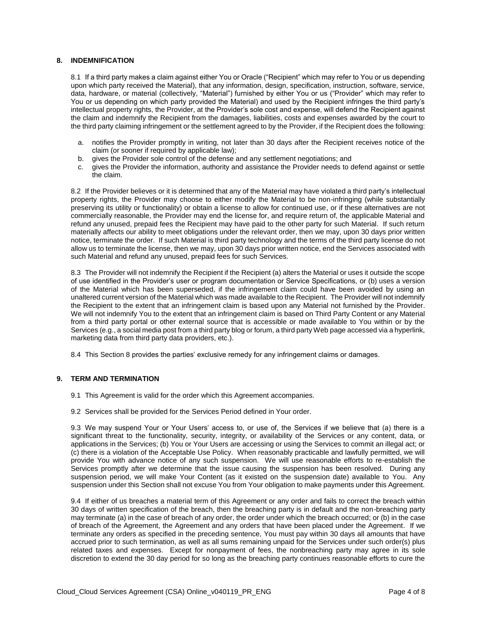### **8. INDEMNIFICATION**

8.1 If a third party makes a claim against either You or Oracle ("Recipient" which may refer to You or us depending upon which party received the Material), that any information, design, specification, instruction, software, service, data, hardware, or material (collectively, "Material") furnished by either You or us ("Provider" which may refer to You or us depending on which party provided the Material) and used by the Recipient infringes the third party's intellectual property rights, the Provider, at the Provider's sole cost and expense, will defend the Recipient against the claim and indemnify the Recipient from the damages, liabilities, costs and expenses awarded by the court to the third party claiming infringement or the settlement agreed to by the Provider, if the Recipient does the following:

- a. notifies the Provider promptly in writing, not later than 30 days after the Recipient receives notice of the claim (or sooner if required by applicable law);
- b. gives the Provider sole control of the defense and any settlement negotiations; and
- c. gives the Provider the information, authority and assistance the Provider needs to defend against or settle the claim.

8.2 If the Provider believes or it is determined that any of the Material may have violated a third party's intellectual property rights, the Provider may choose to either modify the Material to be non-infringing (while substantially preserving its utility or functionality) or obtain a license to allow for continued use, or if these alternatives are not commercially reasonable, the Provider may end the license for, and require return of, the applicable Material and refund any unused, prepaid fees the Recipient may have paid to the other party for such Material. If such return materially affects our ability to meet obligations under the relevant order, then we may, upon 30 days prior written notice, terminate the order. If such Material is third party technology and the terms of the third party license do not allow us to terminate the license, then we may, upon 30 days prior written notice, end the Services associated with such Material and refund any unused, prepaid fees for such Services.

8.3 The Provider will not indemnify the Recipient if the Recipient (a) alters the Material or uses it outside the scope of use identified in the Provider's user or program documentation or Service Specifications, or (b) uses a version of the Material which has been superseded, if the infringement claim could have been avoided by using an unaltered current version of the Material which was made available to the Recipient. The Provider will not indemnify the Recipient to the extent that an infringement claim is based upon any Material not furnished by the Provider. We will not indemnify You to the extent that an infringement claim is based on Third Party Content or any Material from a third party portal or other external source that is accessible or made available to You within or by the Services (e.g., a social media post from a third party blog or forum, a third party Web page accessed via a hyperlink, marketing data from third party data providers, etc.).

8.4 This Section 8 provides the parties' exclusive remedy for any infringement claims or damages.

### **9. TERM AND TERMINATION**

- 9.1 This Agreement is valid for the order which this Agreement accompanies.
- 9.2 Services shall be provided for the Services Period defined in Your order.

9.3 We may suspend Your or Your Users' access to, or use of, the Services if we believe that (a) there is a significant threat to the functionality, security, integrity, or availability of the Services or any content, data, or applications in the Services; (b) You or Your Users are accessing or using the Services to commit an illegal act; or (c) there is a violation of the Acceptable Use Policy. When reasonably practicable and lawfully permitted, we will provide You with advance notice of any such suspension. We will use reasonable efforts to re-establish the Services promptly after we determine that the issue causing the suspension has been resolved. During any suspension period, we will make Your Content (as it existed on the suspension date) available to You. Any suspension under this Section shall not excuse You from Your obligation to make payments under this Agreement.

9.4 If either of us breaches a material term of this Agreement or any order and fails to correct the breach within 30 days of written specification of the breach, then the breaching party is in default and the non-breaching party may terminate (a) in the case of breach of any order, the order under which the breach occurred; or (b) in the case of breach of the Agreement, the Agreement and any orders that have been placed under the Agreement. If we terminate any orders as specified in the preceding sentence, You must pay within 30 days all amounts that have accrued prior to such termination, as well as all sums remaining unpaid for the Services under such order(s) plus related taxes and expenses. Except for nonpayment of fees, the nonbreaching party may agree in its sole discretion to extend the 30 day period for so long as the breaching party continues reasonable efforts to cure the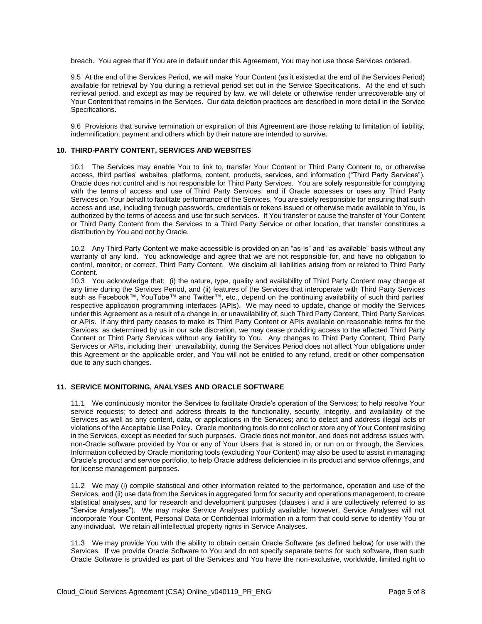breach. You agree that if You are in default under this Agreement, You may not use those Services ordered.

9.5 At the end of the Services Period, we will make Your Content (as it existed at the end of the Services Period) available for retrieval by You during a retrieval period set out in the Service Specifications. At the end of such retrieval period, and except as may be required by law, we will delete or otherwise render unrecoverable any of Your Content that remains in the Services. Our data deletion practices are described in more detail in the Service Specifications.

9.6 Provisions that survive termination or expiration of this Agreement are those relating to limitation of liability, indemnification, payment and others which by their nature are intended to survive.

#### **10. THIRD-PARTY CONTENT, SERVICES AND WEBSITES**

10.1 The Services may enable You to link to, transfer Your Content or Third Party Content to, or otherwise access, third parties' websites, platforms, content, products, services, and information ("Third Party Services"). Oracle does not control and is not responsible for Third Party Services. You are solely responsible for complying with the terms of access and use of Third Party Services, and if Oracle accesses or uses any Third Party Services on Your behalf to facilitate performance of the Services, You are solely responsible for ensuring that such access and use, including through passwords, credentials or tokens issued or otherwise made available to You, is authorized by the terms of access and use for such services. If You transfer or cause the transfer of Your Content or Third Party Content from the Services to a Third Party Service or other location, that transfer constitutes a distribution by You and not by Oracle.

10.2 Any Third Party Content we make accessible is provided on an "as-is" and "as available" basis without any warranty of any kind. You acknowledge and agree that we are not responsible for, and have no obligation to control, monitor, or correct, Third Party Content. We disclaim all liabilities arising from or related to Third Party Content.

10.3 You acknowledge that: (i) the nature, type, quality and availability of Third Party Content may change at any time during the Services Period, and (ii) features of the Services that interoperate with Third Party Services such as Facebook™, YouTube™ and Twitter™, etc., depend on the continuing availability of such third parties' respective application programming interfaces (APIs). We may need to update, change or modify the Services under this Agreement as a result of a change in, or unavailability of, such Third Party Content, Third Party Services or APIs. If any third party ceases to make its Third Party Content or APIs available on reasonable terms for the Services, as determined by us in our sole discretion, we may cease providing access to the affected Third Party Content or Third Party Services without any liability to You. Any changes to Third Party Content, Third Party Services or APIs, including their unavailability, during the Services Period does not affect Your obligations under this Agreement or the applicable order, and You will not be entitled to any refund, credit or other compensation due to any such changes.

#### **11. SERVICE MONITORING, ANALYSES AND ORACLE SOFTWARE**

11.1 We continuously monitor the Services to facilitate Oracle's operation of the Services; to help resolve Your service requests; to detect and address threats to the functionality, security, integrity, and availability of the Services as well as any content, data, or applications in the Services; and to detect and address illegal acts or violations of the Acceptable Use Policy. Oracle monitoring tools do not collect or store any of Your Content residing in the Services, except as needed for such purposes. Oracle does not monitor, and does not address issues with, non-Oracle software provided by You or any of Your Users that is stored in, or run on or through, the Services. Information collected by Oracle monitoring tools (excluding Your Content) may also be used to assist in managing Oracle's product and service portfolio, to help Oracle address deficiencies in its product and service offerings, and for license management purposes.

11.2 We may (i) compile statistical and other information related to the performance, operation and use of the Services, and (ii) use data from the Services in aggregated form for security and operations management, to create statistical analyses, and for research and development purposes (clauses i and ii are collectively referred to as "Service Analyses"). We may make Service Analyses publicly available; however, Service Analyses will not incorporate Your Content, Personal Data or Confidential Information in a form that could serve to identify You or any individual. We retain all intellectual property rights in Service Analyses.

11.3 We may provide You with the ability to obtain certain Oracle Software (as defined below) for use with the Services. If we provide Oracle Software to You and do not specify separate terms for such software, then such Oracle Software is provided as part of the Services and You have the non-exclusive, worldwide, limited right to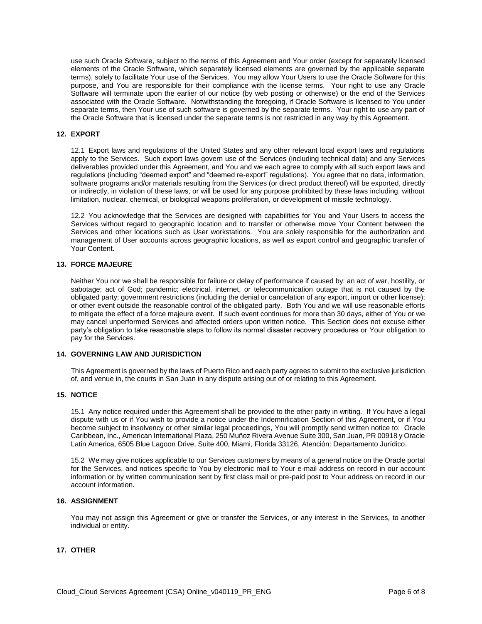use such Oracle Software, subject to the terms of this Agreement and Your order (except for separately licensed elements of the Oracle Software, which separately licensed elements are governed by the applicable separate terms), solely to facilitate Your use of the Services. You may allow Your Users to use the Oracle Software for this purpose, and You are responsible for their compliance with the license terms. Your right to use any Oracle Software will terminate upon the earlier of our notice (by web posting or otherwise) or the end of the Services associated with the Oracle Software. Notwithstanding the foregoing, if Oracle Software is licensed to You under separate terms, then Your use of such software is governed by the separate terms. Your right to use any part of the Oracle Software that is licensed under the separate terms is not restricted in any way by this Agreement.

#### **12. EXPORT**

12.1 Export laws and regulations of the United States and any other relevant local export laws and regulations apply to the Services. Such export laws govern use of the Services (including technical data) and any Services deliverables provided under this Agreement, and You and we each agree to comply with all such export laws and regulations (including "deemed export" and "deemed re-export" regulations). You agree that no data, information, software programs and/or materials resulting from the Services (or direct product thereof) will be exported, directly or indirectly, in violation of these laws, or will be used for any purpose prohibited by these laws including, without limitation, nuclear, chemical, or biological weapons proliferation, or development of missile technology.

12.2 You acknowledge that the Services are designed with capabilities for You and Your Users to access the Services without regard to geographic location and to transfer or otherwise move Your Content between the Services and other locations such as User workstations. You are solely responsible for the authorization and management of User accounts across geographic locations, as well as export control and geographic transfer of Your Content.

### **13. FORCE MAJEURE**

Neither You nor we shall be responsible for failure or delay of performance if caused by: an act of war, hostility, or sabotage; act of God; pandemic; electrical, internet, or telecommunication outage that is not caused by the obligated party; government restrictions (including the denial or cancelation of any export, import or other license); or other event outside the reasonable control of the obligated party. Both You and we will use reasonable efforts to mitigate the effect of a force majeure event. If such event continues for more than 30 days, either of You or we may cancel unperformed Services and affected orders upon written notice. This Section does not excuse either party's obligation to take reasonable steps to follow its normal disaster recovery procedures or Your obligation to pay for the Services.

#### **14. GOVERNING LAW AND JURISDICTION**

This Agreement is governed by the laws of Puerto Rico and each party agrees to submit to the exclusive jurisdiction of, and venue in, the courts in San Juan in any dispute arising out of or relating to this Agreement.

#### **15. NOTICE**

15.1 Any notice required under this Agreement shall be provided to the other party in writing. If You have a legal dispute with us or if You wish to provide a notice under the Indemnification Section of this Agreement, or if You become subject to insolvency or other similar legal proceedings, You will promptly send written notice to: Oracle Caribbean, Inc., American International Plaza, 250 Muñoz Rivera Avenue Suite 300, San Juan, PR 00918 y Oracle Latin America, 6505 Blue Lagoon Drive, Suite 400, Miami, Florida 33126, Atención: Departamento Jurídico.

15.2 We may give notices applicable to our Services customers by means of a general notice on the Oracle portal for the Services, and notices specific to You by electronic mail to Your e-mail address on record in our account information or by written communication sent by first class mail or pre-paid post to Your address on record in our account information.

#### **16. ASSIGNMENT**

You may not assign this Agreement or give or transfer the Services, or any interest in the Services, to another individual or entity.

# **17. OTHER**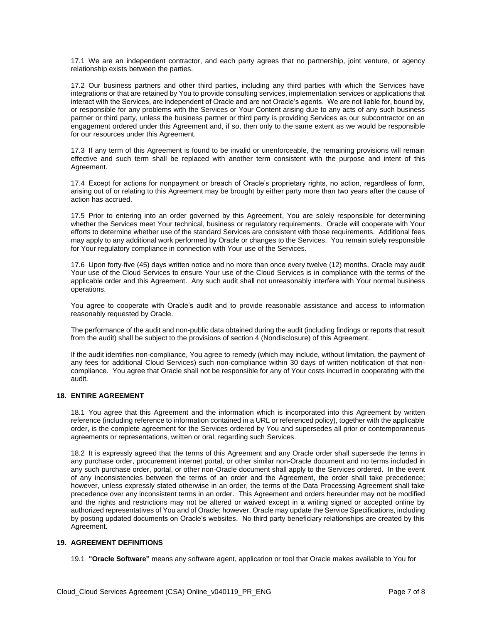17.1 We are an independent contractor, and each party agrees that no partnership, joint venture, or agency relationship exists between the parties.

17.2 Our business partners and other third parties, including any third parties with which the Services have integrations or that are retained by You to provide consulting services, implementation services or applications that interact with the Services, are independent of Oracle and are not Oracle's agents. We are not liable for, bound by, or responsible for any problems with the Services or Your Content arising due to any acts of any such business partner or third party, unless the business partner or third party is providing Services as our subcontractor on an engagement ordered under this Agreement and, if so, then only to the same extent as we would be responsible for our resources under this Agreement.

17.3 If any term of this Agreement is found to be invalid or unenforceable, the remaining provisions will remain effective and such term shall be replaced with another term consistent with the purpose and intent of this Agreement.

17.4 Except for actions for nonpayment or breach of Oracle's proprietary rights, no action, regardless of form, arising out of or relating to this Agreement may be brought by either party more than two years after the cause of action has accrued.

17.5 Prior to entering into an order governed by this Agreement, You are solely responsible for determining whether the Services meet Your technical, business or regulatory requirements. Oracle will cooperate with Your efforts to determine whether use of the standard Services are consistent with those requirements. Additional fees may apply to any additional work performed by Oracle or changes to the Services. You remain solely responsible for Your regulatory compliance in connection with Your use of the Services.

17.6 Upon forty-five (45) days written notice and no more than once every twelve (12) months, Oracle may audit Your use of the Cloud Services to ensure Your use of the Cloud Services is in compliance with the terms of the applicable order and this Agreement. Any such audit shall not unreasonably interfere with Your normal business operations.

You agree to cooperate with Oracle's audit and to provide reasonable assistance and access to information reasonably requested by Oracle.

The performance of the audit and non-public data obtained during the audit (including findings or reports that result from the audit) shall be subject to the provisions of section 4 (Nondisclosure) of this Agreement.

If the audit identifies non-compliance, You agree to remedy (which may include, without limitation, the payment of any fees for additional Cloud Services) such non-compliance within 30 days of written notification of that noncompliance. You agree that Oracle shall not be responsible for any of Your costs incurred in cooperating with the audit.

# **18. ENTIRE AGREEMENT**

18.1 You agree that this Agreement and the information which is incorporated into this Agreement by written reference (including reference to information contained in a URL or referenced policy), together with the applicable order, is the complete agreement for the Services ordered by You and supersedes all prior or contemporaneous agreements or representations, written or oral, regarding such Services.

18.2 It is expressly agreed that the terms of this Agreement and any Oracle order shall supersede the terms in any purchase order, procurement internet portal, or other similar non-Oracle document and no terms included in any such purchase order, portal, or other non-Oracle document shall apply to the Services ordered. In the event of any inconsistencies between the terms of an order and the Agreement, the order shall take precedence; however, unless expressly stated otherwise in an order, the terms of the Data Processing Agreement shall take precedence over any inconsistent terms in an order. This Agreement and orders hereunder may not be modified and the rights and restrictions may not be altered or waived except in a writing signed or accepted online by authorized representatives of You and of Oracle; however, Oracle may update the Service Specifications, including by posting updated documents on Oracle's websites. No third party beneficiary relationships are created by this Agreement.

#### **19. AGREEMENT DEFINITIONS**

19.1 **"Oracle Software"** means any software agent, application or tool that Oracle makes available to You for